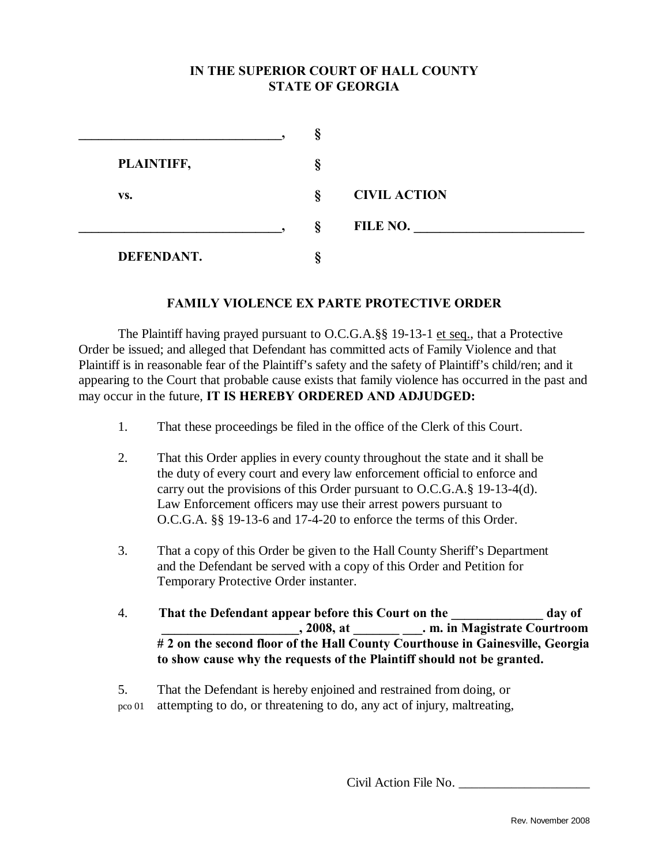# **IN THE SUPERIOR COURT OF HALL COUNTY STATE OF GEORGIA**

|                   | - 1    |                     |
|-------------------|--------|---------------------|
| PLAINTIFF,        | O<br>м |                     |
| VS.               | Ş      | <b>CIVIL ACTION</b> |
|                   | ş      | FILE NO.            |
| <b>DEFENDANT.</b> |        |                     |

### **FAMILY VIOLENCE EX PARTE PROTECTIVE ORDER**

The Plaintiff having prayed pursuant to O.C.G.A.§§ 19-13-1 et seq., that a Protective Order be issued; and alleged that Defendant has committed acts of Family Violence and that Plaintiff is in reasonable fear of the Plaintiff's safety and the safety of Plaintiff's child/ren; and it appearing to the Court that probable cause exists that family violence has occurred in the past and may occur in the future, **IT IS HEREBY ORDERED AND ADJUDGED:** 

- 1. That these proceedings be filed in the office of the Clerk of this Court.
- 2. That this Order applies in every county throughout the state and it shall be the duty of every court and every law enforcement official to enforce and carry out the provisions of this Order pursuant to O.C.G.A.§ 19-13-4(d). Law Enforcement officers may use their arrest powers pursuant to O.C.G.A. §§ 19-13-6 and 17-4-20 to enforce the terms of this Order.
- 3. That a copy of this Order be given to the Hall County Sheriff's Department and the Defendant be served with a copy of this Order and Petition for Temporary Protective Order instanter.
- 4. **That the Defendant appear before this Court on the \_\_\_\_\_\_\_\_\_\_\_\_\_\_ day of \_\_\_\_\_\_\_\_\_\_\_\_\_\_\_\_\_\_\_\_\_, 2008, at \_\_\_\_\_\_\_ \_\_\_. m. in Magistrate Courtroom # 2 on the second floor of the Hall County Courthouse in Gainesville, Georgia to show cause why the requests of the Plaintiff should not be granted.**

 5. That the Defendant is hereby enjoined and restrained from doing, or pco 01 attempting to do, or threatening to do, any act of injury, maltreating,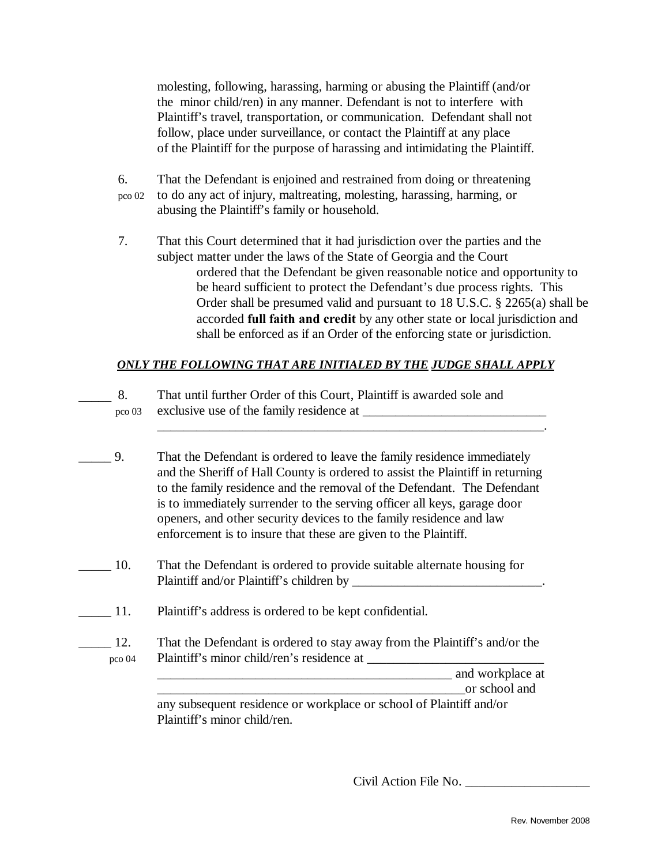molesting, following, harassing, harming or abusing the Plaintiff (and/or the minor child/ren) in any manner. Defendant is not to interfere with Plaintiff's travel, transportation, or communication. Defendant shall not follow, place under surveillance, or contact the Plaintiff at any place of the Plaintiff for the purpose of harassing and intimidating the Plaintiff.

- 6. That the Defendant is enjoined and restrained from doing or threatening pco 02 to do any act of injury, maltreating, molesting, harassing, harming, or abusing the Plaintiff's family or household.
- 7. That this Court determined that it had jurisdiction over the parties and the subject matter under the laws of the State of Georgia and the Court ordered that the Defendant be given reasonable notice and opportunity to be heard sufficient to protect the Defendant's due process rights. This Order shall be presumed valid and pursuant to 18 U.S.C. § 2265(a) shall be accorded **full faith and credit** by any other state or local jurisdiction and shall be enforced as if an Order of the enforcing state or jurisdiction.

### *ONLY THE FOLLOWING THAT ARE INITIALED BY THE JUDGE SHALL APPLY*

| That until further Order of this Court, Plaintiff is awarded sole and |
|-----------------------------------------------------------------------|
| pco 03 exclusive use of the family residence at                       |
|                                                                       |

- \_\_\_\_\_ 9. That the Defendant is ordered to leave the family residence immediately and the Sheriff of Hall County is ordered to assist the Plaintiff in returning to the family residence and the removal of the Defendant. The Defendant is to immediately surrender to the serving officer all keys, garage door openers, and other security devices to the family residence and law enforcement is to insure that these are given to the Plaintiff.
- \_\_\_\_\_ 10. That the Defendant is ordered to provide suitable alternate housing for Plaintiff and/or Plaintiff's children by \_\_\_\_\_\_\_\_\_\_\_\_\_\_\_\_\_\_\_\_\_\_\_\_\_\_\_\_\_.
- \_\_\_\_\_ 11. Plaintiff's address is ordered to be kept confidential.
- 12. That the Defendant is ordered to stay away from the Plaintiff's and/or the pco 04 Plaintiff's minor child/ren's residence at \_\_\_\_\_\_\_\_\_\_\_\_\_\_\_\_\_\_\_\_\_\_\_\_\_\_\_

\_\_\_\_\_\_\_\_\_\_\_\_\_\_\_\_\_\_\_\_\_\_\_\_\_\_\_\_\_\_\_\_\_\_\_\_\_\_\_\_\_\_\_\_\_ and workplace at

or school and

 any subsequent residence or workplace or school of Plaintiff and/or Plaintiff's minor child/ren.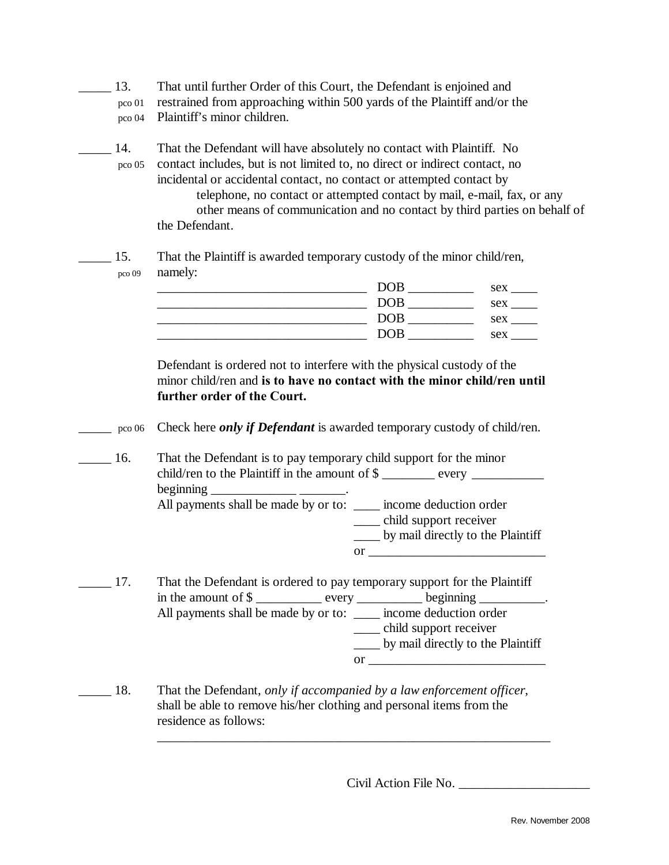- 13. That until further Order of this Court, the Defendant is enjoined and pco 01 restrained from approaching within 500 yards of the Plaintiff and/or the pco 04 Plaintiff's minor children.
- \_\_\_\_\_ 14. That the Defendant will have absolutely no contact with Plaintiff. No pco 05 contact includes, but is not limited to, no direct or indirect contact, no incidental or accidental contact, no contact or attempted contact by telephone, no contact or attempted contact by mail, e-mail, fax, or any other means of communication and no contact by third parties on behalf of the Defendant.

\_\_\_\_\_ 15. That the Plaintiff is awarded temporary custody of the minor child/ren, pco 09 namely:

|  | DUL        | sex |
|--|------------|-----|
|  | <b>DOR</b> | sex |
|  | DOP        | sex |
|  | ັ          | sex |

 Defendant is ordered not to interfere with the physical custody of the minor child/ren and **is to have no contact with the minor child/ren until further order of the Court.** 

- \_\_\_\_\_ pco 06 Check here *only if Defendant* is awarded temporary custody of child/ren.
- 16. That the Defendant is to pay temporary child support for the minor child/ren to the Plaintiff in the amount of \$ \_\_\_\_\_\_\_ every \_\_\_\_\_\_\_\_\_\_\_\_\_\_\_\_\_\_\_\_\_  $begin{bmatrix} \nfrac{\partial u}{\partial x} & \frac{\partial u}{\partial y} \\
frac{\partial u}{\partial y} & \frac{\partial u}{\partial z} \\
frac{\partial v}{\partial x} & \frac{\partial v}{\partial z}\n\end{bmatrix}$ All payments shall be made by or to: \_\_\_\_\_ income deduction order \_\_\_\_ child support receiver \_\_\_\_ by mail directly to the Plaintiff or  $\qquad \qquad \overline{\qquad \qquad }$
- \_\_\_\_\_ 17. That the Defendant is ordered to pay temporary support for the Plaintiff in the amount of \$ \_\_\_\_\_\_\_\_\_\_ every \_\_\_\_\_\_\_\_\_\_ beginning \_\_\_\_\_\_\_\_\_\_. All payments shall be made by or to: \_\_\_\_\_ income deduction order \_\_\_\_ child support receiver \_\_\_\_ by mail directly to the Plaintiff or  $\Box$
- \_\_\_\_\_ 18. That the Defendant, *only if accompanied by a law enforcement officer*, shall be able to remove his/her clothing and personal items from the residence as follows:

\_\_\_\_\_\_\_\_\_\_\_\_\_\_\_\_\_\_\_\_\_\_\_\_\_\_\_\_\_\_\_\_\_\_\_\_\_\_\_\_\_\_\_\_\_\_\_\_\_\_\_\_\_\_\_\_\_\_\_\_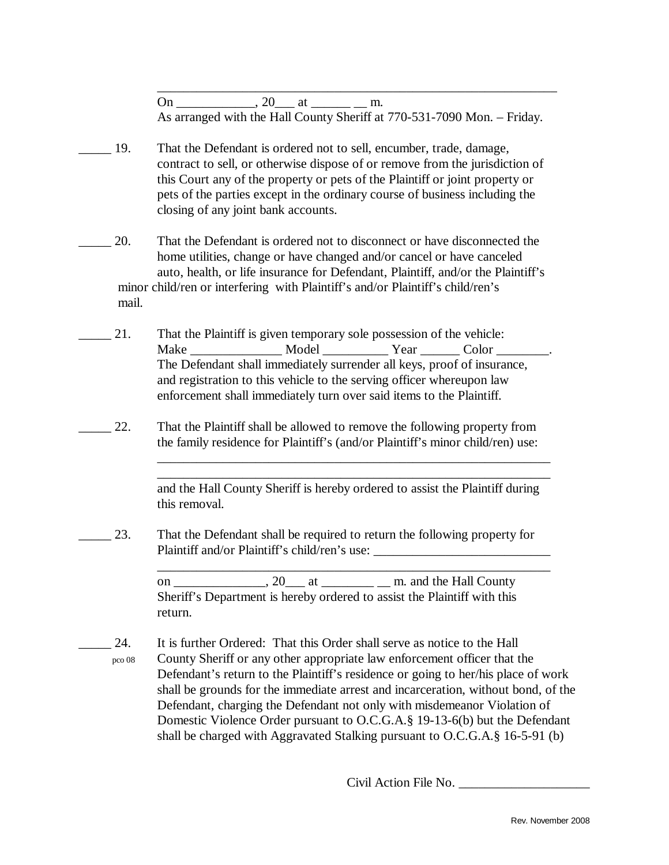On  $\qquad \qquad$   $\qquad$   $\qquad$   $\qquad$   $\qquad$   $\qquad$   $\qquad$   $\qquad$   $\qquad$   $\qquad$   $\qquad$   $\qquad$   $\qquad$   $\qquad$   $\qquad$   $\qquad$   $\qquad$   $\qquad$   $\qquad$   $\qquad$   $\qquad$   $\qquad$   $\qquad$   $\qquad$   $\qquad$   $\qquad$   $\qquad$   $\qquad$   $\qquad$   $\qquad$   $\qquad$   $\qquad$   $\qquad$   $\qquad$   $\qquad$   $\qquad$ As arranged with the Hall County Sheriff at 770-531-7090 Mon. – Friday.

\_\_\_\_\_\_\_\_\_\_\_\_\_\_\_\_\_\_\_\_\_\_\_\_\_\_\_\_\_\_\_\_\_\_\_\_\_\_\_\_\_\_\_\_\_\_\_\_\_\_\_\_\_\_\_\_\_\_\_\_\_

- \_\_\_\_\_ 19. That the Defendant is ordered not to sell, encumber, trade, damage, contract to sell, or otherwise dispose of or remove from the jurisdiction of this Court any of the property or pets of the Plaintiff or joint property or pets of the parties except in the ordinary course of business including the closing of any joint bank accounts.
- \_\_\_\_\_ 20. That the Defendant is ordered not to disconnect or have disconnected the home utilities, change or have changed and/or cancel or have canceled auto, health, or life insurance for Defendant, Plaintiff, and/or the Plaintiff's minor child/ren or interfering with Plaintiff's and/or Plaintiff's child/ren's mail.
- 21. That the Plaintiff is given temporary sole possession of the vehicle: Make Model Year Color Model News, 2008 The Defendant shall immediately surrender all keys, proof of insurance, and registration to this vehicle to the serving officer whereupon law enforcement shall immediately turn over said items to the Plaintiff.
- 22. That the Plaintiff shall be allowed to remove the following property from the family residence for Plaintiff's (and/or Plaintiff's minor child/ren) use:

 $\overline{\phantom{a}}$  ,  $\overline{\phantom{a}}$  ,  $\overline{\phantom{a}}$  ,  $\overline{\phantom{a}}$  ,  $\overline{\phantom{a}}$  ,  $\overline{\phantom{a}}$  ,  $\overline{\phantom{a}}$  ,  $\overline{\phantom{a}}$  ,  $\overline{\phantom{a}}$  ,  $\overline{\phantom{a}}$  ,  $\overline{\phantom{a}}$  ,  $\overline{\phantom{a}}$  ,  $\overline{\phantom{a}}$  ,  $\overline{\phantom{a}}$  ,  $\overline{\phantom{a}}$  ,  $\overline{\phantom{a}}$  $\overline{\phantom{a}}$  ,  $\overline{\phantom{a}}$  ,  $\overline{\phantom{a}}$  ,  $\overline{\phantom{a}}$  ,  $\overline{\phantom{a}}$  ,  $\overline{\phantom{a}}$  ,  $\overline{\phantom{a}}$  ,  $\overline{\phantom{a}}$  ,  $\overline{\phantom{a}}$  ,  $\overline{\phantom{a}}$  ,  $\overline{\phantom{a}}$  ,  $\overline{\phantom{a}}$  ,  $\overline{\phantom{a}}$  ,  $\overline{\phantom{a}}$  ,  $\overline{\phantom{a}}$  ,  $\overline{\phantom{a}}$ 

> and the Hall County Sheriff is hereby ordered to assist the Plaintiff during this removal.

23. That the Defendant shall be required to return the following property for Plaintiff and/or Plaintiff's child/ren's use: \_\_\_\_\_\_\_\_\_\_\_\_\_\_\_\_\_\_\_\_\_\_\_\_\_\_\_\_\_\_\_\_\_\_

 $\overline{\phantom{a}}$  ,  $\overline{\phantom{a}}$  ,  $\overline{\phantom{a}}$  ,  $\overline{\phantom{a}}$  ,  $\overline{\phantom{a}}$  ,  $\overline{\phantom{a}}$  ,  $\overline{\phantom{a}}$  ,  $\overline{\phantom{a}}$  ,  $\overline{\phantom{a}}$  ,  $\overline{\phantom{a}}$  ,  $\overline{\phantom{a}}$  ,  $\overline{\phantom{a}}$  ,  $\overline{\phantom{a}}$  ,  $\overline{\phantom{a}}$  ,  $\overline{\phantom{a}}$  ,  $\overline{\phantom{a}}$ 

 on \_\_\_\_\_\_\_\_\_\_\_\_\_\_, 20\_\_\_ at \_\_\_\_\_\_\_\_ \_\_ m. and the Hall County Sheriff's Department is hereby ordered to assist the Plaintiff with this return.

24. It is further Ordered: That this Order shall serve as notice to the Hall pco 08 County Sheriff or any other appropriate law enforcement officer that the Defendant's return to the Plaintiff's residence or going to her/his place of work shall be grounds for the immediate arrest and incarceration, without bond, of the Defendant, charging the Defendant not only with misdemeanor Violation of Domestic Violence Order pursuant to O.C.G.A.§ 19-13-6(b) but the Defendant shall be charged with Aggravated Stalking pursuant to O.C.G.A.§ 16-5-91 (b)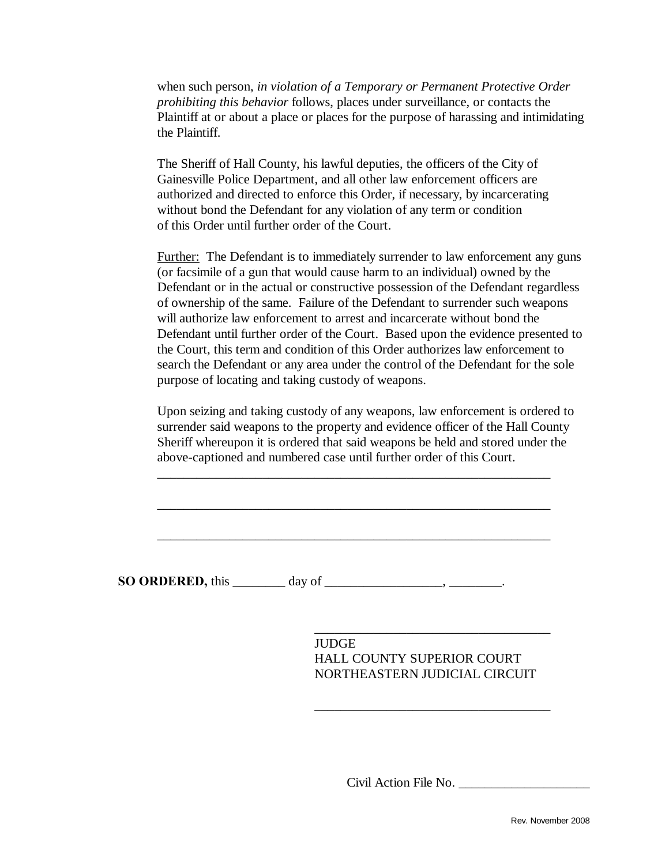when such person, *in violation of a Temporary or Permanent Protective Order prohibiting this behavior* follows, places under surveillance, or contacts the Plaintiff at or about a place or places for the purpose of harassing and intimidating the Plaintiff.

 The Sheriff of Hall County, his lawful deputies, the officers of the City of Gainesville Police Department, and all other law enforcement officers are authorized and directed to enforce this Order, if necessary, by incarcerating without bond the Defendant for any violation of any term or condition of this Order until further order of the Court.

 Further: The Defendant is to immediately surrender to law enforcement any guns (or facsimile of a gun that would cause harm to an individual) owned by the Defendant or in the actual or constructive possession of the Defendant regardless of ownership of the same. Failure of the Defendant to surrender such weapons will authorize law enforcement to arrest and incarcerate without bond the Defendant until further order of the Court. Based upon the evidence presented to the Court, this term and condition of this Order authorizes law enforcement to search the Defendant or any area under the control of the Defendant for the sole purpose of locating and taking custody of weapons.

Upon seizing and taking custody of any weapons, law enforcement is ordered to surrender said weapons to the property and evidence officer of the Hall County Sheriff whereupon it is ordered that said weapons be held and stored under the above-captioned and numbered case until further order of this Court.

**SO ORDERED,** this \_\_\_\_\_\_\_\_ day of \_\_\_\_\_\_\_\_\_\_\_\_\_\_\_\_\_, \_\_\_\_\_\_\_\_\_.

 $\overline{\phantom{a}}$  , which is a set of the set of the set of the set of the set of the set of the set of the set of the set of the set of the set of the set of the set of the set of the set of the set of the set of the set of th

 $\overline{\phantom{a}}$  , which is a set of the set of the set of the set of the set of the set of the set of the set of the set of the set of the set of the set of the set of the set of the set of the set of the set of the set of th

 $\overline{\phantom{a}}$  ,  $\overline{\phantom{a}}$  ,  $\overline{\phantom{a}}$  ,  $\overline{\phantom{a}}$  ,  $\overline{\phantom{a}}$  ,  $\overline{\phantom{a}}$  ,  $\overline{\phantom{a}}$  ,  $\overline{\phantom{a}}$  ,  $\overline{\phantom{a}}$  ,  $\overline{\phantom{a}}$  ,  $\overline{\phantom{a}}$  ,  $\overline{\phantom{a}}$  ,  $\overline{\phantom{a}}$  ,  $\overline{\phantom{a}}$  ,  $\overline{\phantom{a}}$  ,  $\overline{\phantom{a}}$ 

 $\overline{\phantom{a}}$  ,  $\overline{\phantom{a}}$  ,  $\overline{\phantom{a}}$  ,  $\overline{\phantom{a}}$  ,  $\overline{\phantom{a}}$  ,  $\overline{\phantom{a}}$  ,  $\overline{\phantom{a}}$  ,  $\overline{\phantom{a}}$  ,  $\overline{\phantom{a}}$  ,  $\overline{\phantom{a}}$  ,  $\overline{\phantom{a}}$  ,  $\overline{\phantom{a}}$  ,  $\overline{\phantom{a}}$  ,  $\overline{\phantom{a}}$  ,  $\overline{\phantom{a}}$  ,  $\overline{\phantom{a}}$ 

 $\overline{\phantom{a}}$  ,  $\overline{\phantom{a}}$  ,  $\overline{\phantom{a}}$  ,  $\overline{\phantom{a}}$  ,  $\overline{\phantom{a}}$  ,  $\overline{\phantom{a}}$  ,  $\overline{\phantom{a}}$  ,  $\overline{\phantom{a}}$  ,  $\overline{\phantom{a}}$  ,  $\overline{\phantom{a}}$  ,  $\overline{\phantom{a}}$  ,  $\overline{\phantom{a}}$  ,  $\overline{\phantom{a}}$  ,  $\overline{\phantom{a}}$  ,  $\overline{\phantom{a}}$  ,  $\overline{\phantom{a}}$ 

 JUDGE HALL COUNTY SUPERIOR COURT NORTHEASTERN JUDICIAL CIRCUIT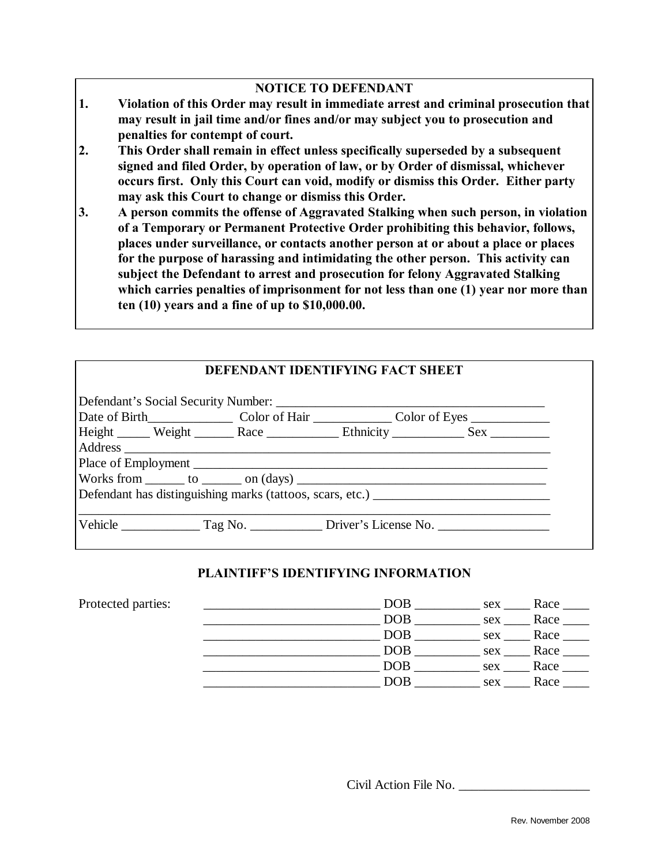# **NOTICE TO DEFENDANT**

- **1. Violation of this Order may result in immediate arrest and criminal prosecution that may result in jail time and/or fines and/or may subject you to prosecution and penalties for contempt of court.**
- **2. This Order shall remain in effect unless specifically superseded by a subsequent signed and filed Order, by operation of law, or by Order of dismissal, whichever occurs first. Only this Court can void, modify or dismiss this Order. Either party may ask this Court to change or dismiss this Order.**
- **3. A person commits the offense of Aggravated Stalking when such person, in violation of a Temporary or Permanent Protective Order prohibiting this behavior, follows, places under surveillance, or contacts another person at or about a place or places for the purpose of harassing and intimidating the other person. This activity can subject the Defendant to arrest and prosecution for felony Aggravated Stalking which carries penalties of imprisonment for not less than one (1) year nor more than ten (10) years and a fine of up to \$10,000.00.**

# **DEFENDANT IDENTIFYING FACT SHEET**

|  |  | Height ______ Weight _______ Race _____________ Ethnicity ____________ Sex ___________ |
|--|--|----------------------------------------------------------------------------------------|
|  |  |                                                                                        |
|  |  |                                                                                        |
|  |  |                                                                                        |
|  |  | Defendant has distinguishing marks (tattoos, scars, etc.) _______________________      |
|  |  |                                                                                        |

### **PLAINTIFF'S IDENTIFYING INFORMATION**

| Protected parties: | DOB        | Race<br>sex |
|--------------------|------------|-------------|
|                    | DOB        | Race<br>sex |
|                    | DOB        | Race<br>sex |
|                    | DOB        | Race<br>sex |
|                    | DOB        | Race<br>sex |
|                    | $\rm{DOB}$ | Race<br>sex |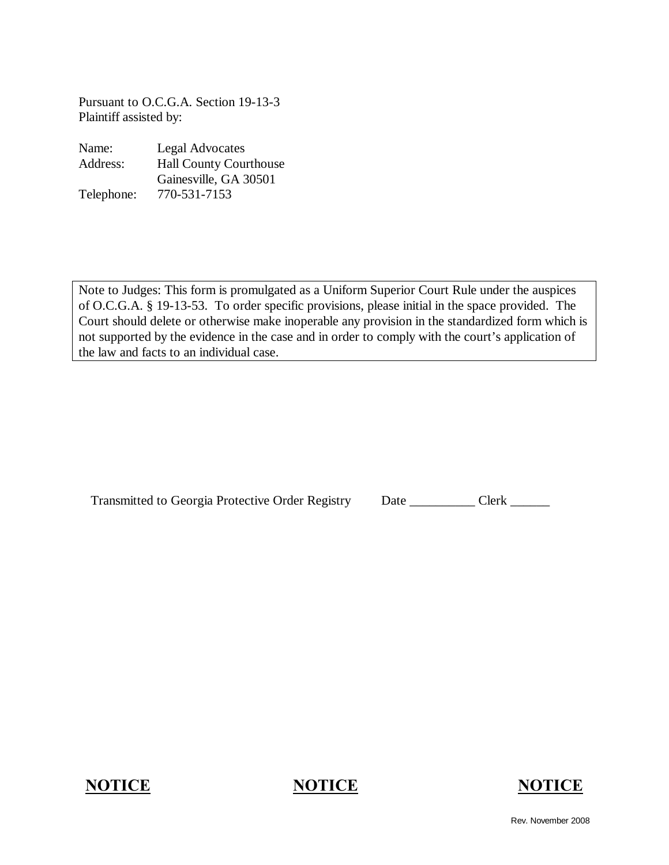Pursuant to O.C.G.A. Section 19-13-3 Plaintiff assisted by:

| Name:      | <b>Legal Advocates</b>        |  |
|------------|-------------------------------|--|
| Address:   | <b>Hall County Courthouse</b> |  |
|            | Gainesville, GA 30501         |  |
| Telephone: | 770-531-7153                  |  |

Note to Judges: This form is promulgated as a Uniform Superior Court Rule under the auspices of O.C.G.A. § 19-13-53. To order specific provisions, please initial in the space provided. The Court should delete or otherwise make inoperable any provision in the standardized form which is not supported by the evidence in the case and in order to comply with the court's application of the law and facts to an individual case.

| <b>Transmitted to Georgia Protective Order Registry</b> | Date | Clerk |
|---------------------------------------------------------|------|-------|
|---------------------------------------------------------|------|-------|



Rev. November 2008